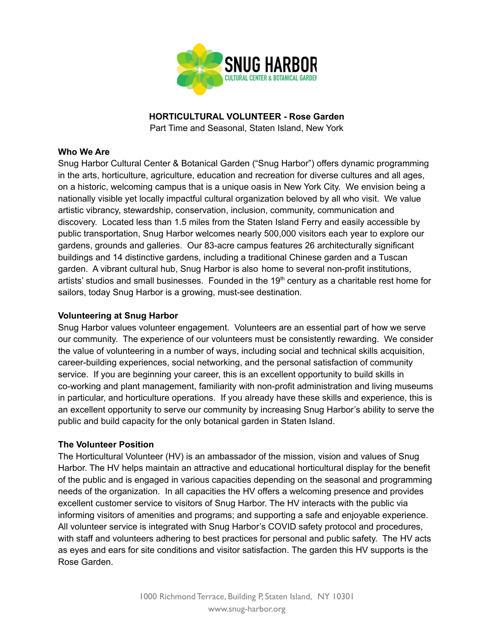

**HORTICULTURAL VOLUNTEER - Rose Garden**

Part Time and Seasonal, Staten Island, New York

### **Who We Are**

Snug Harbor Cultural Center & Botanical Garden ("Snug Harbor") offers dynamic programming in the arts, horticulture, agriculture, education and recreation for diverse cultures and all ages, on a historic, welcoming campus that is a unique oasis in New York City. We envision being a nationally visible yet locally impactful cultural organization beloved by all who visit. We value artistic vibrancy, stewardship, conservation, inclusion, community, communication and discovery. Located less than 1.5 miles from the Staten Island Ferry and easily accessible by public transportation, Snug Harbor welcomes nearly 500,000 visitors each year to explore our gardens, grounds and galleries. Our 83-acre campus features 26 architecturally significant buildings and 14 distinctive gardens, including a traditional Chinese garden and a Tuscan garden. A vibrant cultural hub, Snug Harbor is also home to several non-profit institutions, artists' studios and small businesses. Founded in the  $19<sup>th</sup>$  century as a charitable rest home for sailors, today Snug Harbor is a growing, must-see destination.

# **Volunteering at Snug Harbor**

Snug Harbor values volunteer engagement. Volunteers are an essential part of how we serve our community. The experience of our volunteers must be consistently rewarding. We consider the value of volunteering in a number of ways, including social and technical skills acquisition, career-building experiences, social networking, and the personal satisfaction of community service. If you are beginning your career, this is an excellent opportunity to build skills in co-working and plant management, familiarity with non-profit administration and living museums in particular, and horticulture operations. If you already have these skills and experience, this is an excellent opportunity to serve our community by increasing Snug Harbor's ability to serve the public and build capacity for the only botanical garden in Staten Island.

#### **The Volunteer Position**

The Horticultural Volunteer (HV) is an ambassador of the mission, vision and values of Snug Harbor. The HV helps maintain an attractive and educational horticultural display for the benefit of the public and is engaged in various capacities depending on the seasonal and programming needs of the organization. In all capacities the HV offers a welcoming presence and provides excellent customer service to visitors of Snug Harbor. The HV interacts with the public via informing visitors of amenities and programs; and supporting a safe and enjoyable experience. All volunteer service is integrated with Snug Harbor's COVID safety protocol and procedures, with staff and volunteers adhering to best practices for personal and public safety. The HV acts as eyes and ears for site conditions and visitor satisfaction. The garden this HV supports is the Rose Garden.